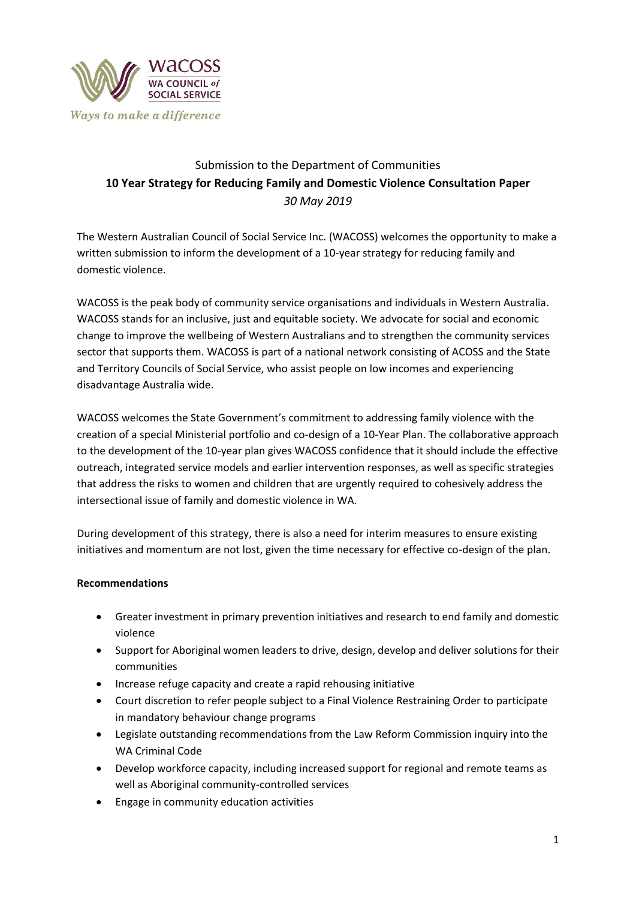

# Submission to the Department of Communities **10 Year Strategy for Reducing Family and Domestic Violence Consultation Paper** *30 May 2019*

The Western Australian Council of Social Service Inc. (WACOSS) welcomes the opportunity to make a written submission to inform the development of a 10-year strategy for reducing family and domestic violence.

WACOSS is the peak body of community service organisations and individuals in Western Australia. WACOSS stands for an inclusive, just and equitable society. We advocate for social and economic change to improve the wellbeing of Western Australians and to strengthen the community services sector that supports them. WACOSS is part of a national network consisting of ACOSS and the State and Territory Councils of Social Service, who assist people on low incomes and experiencing disadvantage Australia wide.

WACOSS welcomes the State Government's commitment to addressing family violence with the creation of a special Ministerial portfolio and co-design of a 10-Year Plan. The collaborative approach to the development of the 10-year plan gives WACOSS confidence that it should include the effective outreach, integrated service models and earlier intervention responses, as well as specific strategies that address the risks to women and children that are urgently required to cohesively address the intersectional issue of family and domestic violence in WA.

During development of this strategy, there is also a need for interim measures to ensure existing initiatives and momentum are not lost, given the time necessary for effective co-design of the plan.

# **Recommendations**

- Greater investment in primary prevention initiatives and research to end family and domestic violence
- Support for Aboriginal women leaders to drive, design, develop and deliver solutions for their communities
- Increase refuge capacity and create a rapid rehousing initiative
- Court discretion to refer people subject to a Final Violence Restraining Order to participate in mandatory behaviour change programs
- Legislate outstanding recommendations from the Law Reform Commission inquiry into the WA Criminal Code
- Develop workforce capacity, including increased support for regional and remote teams as well as Aboriginal community-controlled services
- Engage in community education activities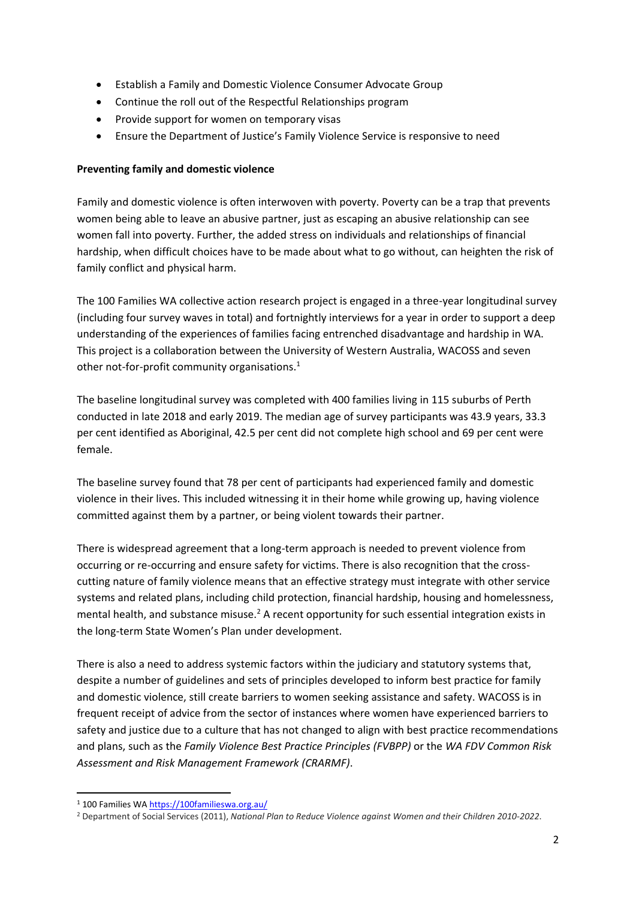- Establish a Family and Domestic Violence Consumer Advocate Group
- Continue the roll out of the Respectful Relationships program
- Provide support for women on temporary visas
- Ensure the Department of Justice's Family Violence Service is responsive to need

# **Preventing family and domestic violence**

Family and domestic violence is often interwoven with poverty. Poverty can be a trap that prevents women being able to leave an abusive partner, just as escaping an abusive relationship can see women fall into poverty. Further, the added stress on individuals and relationships of financial hardship, when difficult choices have to be made about what to go without, can heighten the risk of family conflict and physical harm.

The 100 Families WA collective action research project is engaged in a three-year longitudinal survey (including four survey waves in total) and fortnightly interviews for a year in order to support a deep understanding of the experiences of families facing entrenched disadvantage and hardship in WA. This project is a collaboration between the University of Western Australia, WACOSS and seven other not-for-profit community organisations.<sup>1</sup>

The baseline longitudinal survey was completed with 400 families living in 115 suburbs of Perth conducted in late 2018 and early 2019. The median age of survey participants was 43.9 years, 33.3 per cent identified as Aboriginal, 42.5 per cent did not complete high school and 69 per cent were female.

The baseline survey found that 78 per cent of participants had experienced family and domestic violence in their lives. This included witnessing it in their home while growing up, having violence committed against them by a partner, or being violent towards their partner.

There is widespread agreement that a long-term approach is needed to prevent violence from occurring or re-occurring and ensure safety for victims. There is also recognition that the crosscutting nature of family violence means that an effective strategy must integrate with other service systems and related plans, including child protection, financial hardship, housing and homelessness, mental health, and substance misuse.<sup>2</sup> A recent opportunity for such essential integration exists in the long-term State Women's Plan under development.

There is also a need to address systemic factors within the judiciary and statutory systems that, despite a number of guidelines and sets of principles developed to inform best practice for family and domestic violence, still create barriers to women seeking assistance and safety. WACOSS is in frequent receipt of advice from the sector of instances where women have experienced barriers to safety and justice due to a culture that has not changed to align with best practice recommendations and plans, such as the *Family Violence Best Practice Principles (FVBPP)* or the *WA FDV Common Risk Assessment and Risk Management Framework (CRARMF)*.

**.** 

<sup>1</sup> 100 Families WA<https://100familieswa.org.au/>

<sup>2</sup> Department of Social Services (2011), *National Plan to Reduce Violence against Women and their Children 2010-2022*.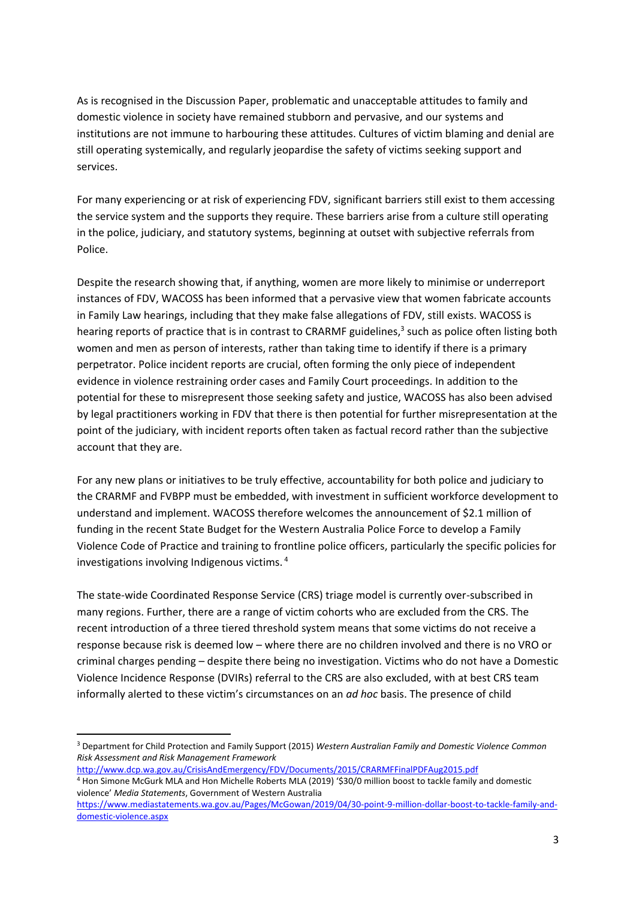As is recognised in the Discussion Paper, problematic and unacceptable attitudes to family and domestic violence in society have remained stubborn and pervasive, and our systems and institutions are not immune to harbouring these attitudes. Cultures of victim blaming and denial are still operating systemically, and regularly jeopardise the safety of victims seeking support and services.

For many experiencing or at risk of experiencing FDV, significant barriers still exist to them accessing the service system and the supports they require. These barriers arise from a culture still operating in the police, judiciary, and statutory systems, beginning at outset with subjective referrals from Police.

Despite the research showing that, if anything, women are more likely to minimise or underreport instances of FDV, WACOSS has been informed that a pervasive view that women fabricate accounts in Family Law hearings, including that they make false allegations of FDV, still exists. WACOSS is hearing reports of practice that is in contrast to CRARMF guidelines, 3 such as police often listing both women and men as person of interests, rather than taking time to identify if there is a primary perpetrator. Police incident reports are crucial, often forming the only piece of independent evidence in violence restraining order cases and Family Court proceedings. In addition to the potential for these to misrepresent those seeking safety and justice, WACOSS has also been advised by legal practitioners working in FDV that there is then potential for further misrepresentation at the point of the judiciary, with incident reports often taken as factual record rather than the subjective account that they are.

For any new plans or initiatives to be truly effective, accountability for both police and judiciary to the CRARMF and FVBPP must be embedded, with investment in sufficient workforce development to understand and implement. WACOSS therefore welcomes the announcement of \$2.1 million of funding in the recent State Budget for the Western Australia Police Force to develop a Family Violence Code of Practice and training to frontline police officers, particularly the specific policies for investigations involving Indigenous victims. <sup>4</sup>

The state-wide Coordinated Response Service (CRS) triage model is currently over-subscribed in many regions. Further, there are a range of victim cohorts who are excluded from the CRS. The recent introduction of a three tiered threshold system means that some victims do not receive a response because risk is deemed low – where there are no children involved and there is no VRO or criminal charges pending – despite there being no investigation. Victims who do not have a Domestic Violence Incidence Response (DVIRs) referral to the CRS are also excluded, with at best CRS team informally alerted to these victim's circumstances on an *ad hoc* basis. The presence of child

<http://www.dcp.wa.gov.au/CrisisAndEmergency/FDV/Documents/2015/CRARMFFinalPDFAug2015.pdf>

1

<sup>3</sup> Department for Child Protection and Family Support (2015) *Western Australian Family and Domestic Violence Common Risk Assessment and Risk Management Framework* 

<sup>4</sup> Hon Simone McGurk MLA and Hon Michelle Roberts MLA (2019) '\$30/0 million boost to tackle family and domestic violence' *Media Statements*, Government of Western Australia

[https://www.mediastatements.wa.gov.au/Pages/McGowan/2019/04/30-point-9-million-dollar-boost-to-tackle-family-and](https://www.mediastatements.wa.gov.au/Pages/McGowan/2019/04/30-point-9-million-dollar-boost-to-tackle-family-and-domestic-violence.aspx)[domestic-violence.aspx](https://www.mediastatements.wa.gov.au/Pages/McGowan/2019/04/30-point-9-million-dollar-boost-to-tackle-family-and-domestic-violence.aspx)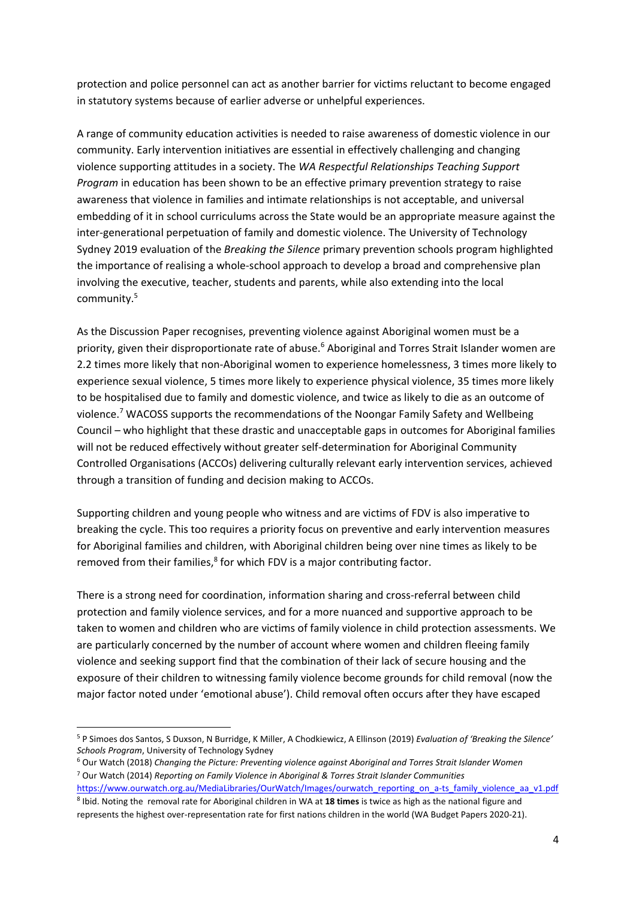protection and police personnel can act as another barrier for victims reluctant to become engaged in statutory systems because of earlier adverse or unhelpful experiences.

A range of community education activities is needed to raise awareness of domestic violence in our community. Early intervention initiatives are essential in effectively challenging and changing violence supporting attitudes in a society. The *WA Respectful Relationships Teaching Support Program* in education has been shown to be an effective primary prevention strategy to raise awareness that violence in families and intimate relationships is not acceptable, and universal embedding of it in school curriculums across the State would be an appropriate measure against the inter-generational perpetuation of family and domestic violence. The University of Technology Sydney 2019 evaluation of the *Breaking the Silence* primary prevention schools program highlighted the importance of realising a whole-school approach to develop a broad and comprehensive plan involving the executive, teacher, students and parents, while also extending into the local community.<sup>5</sup>

As the Discussion Paper recognises, preventing violence against Aboriginal women must be a priority, given their disproportionate rate of abuse.<sup>6</sup> Aboriginal and Torres Strait Islander women are 2.2 times more likely that non-Aboriginal women to experience homelessness, 3 times more likely to experience sexual violence, 5 times more likely to experience physical violence, 35 times more likely to be hospitalised due to family and domestic violence, and twice as likely to die as an outcome of violence.<sup>7</sup> WACOSS supports the recommendations of the Noongar Family Safety and Wellbeing Council – who highlight that these drastic and unacceptable gaps in outcomes for Aboriginal families will not be reduced effectively without greater self-determination for Aboriginal Community Controlled Organisations (ACCOs) delivering culturally relevant early intervention services, achieved through a transition of funding and decision making to ACCOs.

Supporting children and young people who witness and are victims of FDV is also imperative to breaking the cycle. This too requires a priority focus on preventive and early intervention measures for Aboriginal families and children, with Aboriginal children being over nine times as likely to be removed from their families,<sup>8</sup> for which FDV is a major contributing factor.

There is a strong need for coordination, information sharing and cross-referral between child protection and family violence services, and for a more nuanced and supportive approach to be taken to women and children who are victims of family violence in child protection assessments. We are particularly concerned by the number of account where women and children fleeing family violence and seeking support find that the combination of their lack of secure housing and the exposure of their children to witnessing family violence become grounds for child removal (now the major factor noted under 'emotional abuse'). Child removal often occurs after they have escaped

**<sup>.</sup>** <sup>5</sup> P Simoes dos Santos, S Duxson, N Burridge, K Miller, A Chodkiewicz, A Ellinson (2019) *Evaluation of 'Breaking the Silence' Schools Program*, University of Technology Sydney

<sup>6</sup> Our Watch (2018) *Changing the Picture: Preventing violence against Aboriginal and Torres Strait Islander Women* <sup>7</sup> Our Watch (2014) *Reporting on Family Violence in Aboriginal & Torres Strait Islander Communities* 

[https://www.ourwatch.org.au/MediaLibraries/OurWatch/Images/ourwatch\\_reporting\\_on\\_a-ts\\_family\\_violence\\_aa\\_v1.pdf](https://www.ourwatch.org.au/MediaLibraries/OurWatch/Images/ourwatch_reporting_on_a-ts_family_violence_aa_v1.pdf) 8 Ibid. Noting the removal rate for Aboriginal children in WA at **18 times** is twice as high as the national figure and represents the highest over-representation rate for first nations children in the world (WA Budget Papers 2020-21).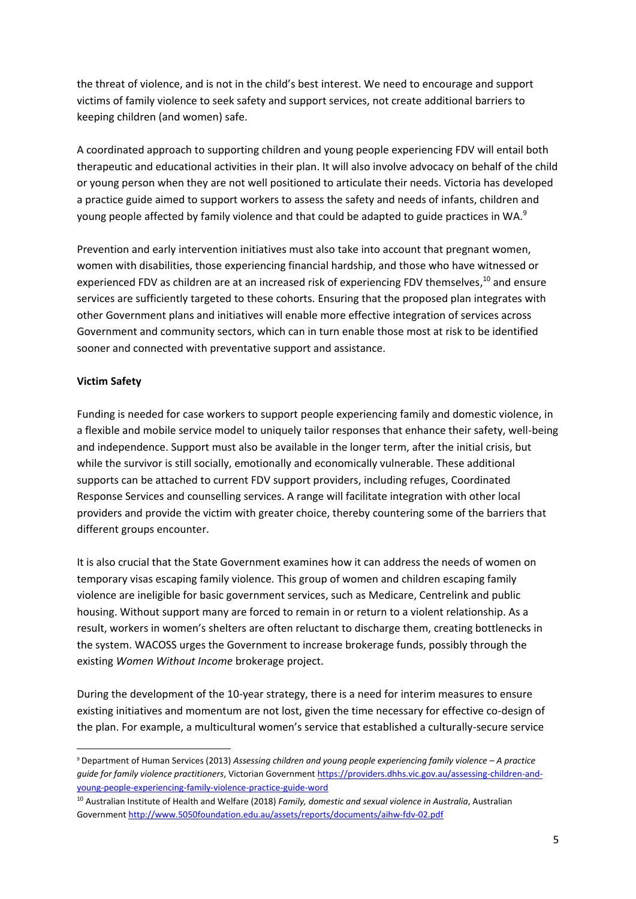the threat of violence, and is not in the child's best interest. We need to encourage and support victims of family violence to seek safety and support services, not create additional barriers to keeping children (and women) safe.

A coordinated approach to supporting children and young people experiencing FDV will entail both therapeutic and educational activities in their plan. It will also involve advocacy on behalf of the child or young person when they are not well positioned to articulate their needs. Victoria has developed a practice guide aimed to support workers to assess the safety and needs of infants, children and young people affected by family violence and that could be adapted to guide practices in WA.<sup>9</sup>

Prevention and early intervention initiatives must also take into account that pregnant women, women with disabilities, those experiencing financial hardship, and those who have witnessed or experienced FDV as children are at an increased risk of experiencing FDV themselves,<sup>10</sup> and ensure services are sufficiently targeted to these cohorts. Ensuring that the proposed plan integrates with other Government plans and initiatives will enable more effective integration of services across Government and community sectors, which can in turn enable those most at risk to be identified sooner and connected with preventative support and assistance.

### **Victim Safety**

**.** 

Funding is needed for case workers to support people experiencing family and domestic violence, in a flexible and mobile service model to uniquely tailor responses that enhance their safety, well-being and independence. Support must also be available in the longer term, after the initial crisis, but while the survivor is still socially, emotionally and economically vulnerable. These additional supports can be attached to current FDV support providers, including refuges, Coordinated Response Services and counselling services. A range will facilitate integration with other local providers and provide the victim with greater choice, thereby countering some of the barriers that different groups encounter.

It is also crucial that the State Government examines how it can address the needs of women on temporary visas escaping family violence. This group of women and children escaping family violence are ineligible for basic government services, such as Medicare, Centrelink and public housing. Without support many are forced to remain in or return to a violent relationship. As a result, workers in women's shelters are often reluctant to discharge them, creating bottlenecks in the system. WACOSS urges the Government to increase brokerage funds, possibly through the existing *Women Without Income* brokerage project.

During the development of the 10-year strategy, there is a need for interim measures to ensure existing initiatives and momentum are not lost, given the time necessary for effective co-design of the plan. For example, a multicultural women's service that established a culturally-secure service

<sup>9</sup> Department of Human Services (2013) *Assessing children and young people experiencing family violence – A practice guide for family violence practitioners*, Victorian Government [https://providers.dhhs.vic.gov.au/assessing-children-and](https://providers.dhhs.vic.gov.au/assessing-children-and-young-people-experiencing-family-violence-practice-guide-word)[young-people-experiencing-family-violence-practice-guide-word](https://providers.dhhs.vic.gov.au/assessing-children-and-young-people-experiencing-family-violence-practice-guide-word)

<sup>10</sup> Australian Institute of Health and Welfare (2018) *Family, domestic and sexual violence in Australia*, Australian Governmen[t http://www.5050foundation.edu.au/assets/reports/documents/aihw-fdv-02.pdf](http://www.5050foundation.edu.au/assets/reports/documents/aihw-fdv-02.pdf)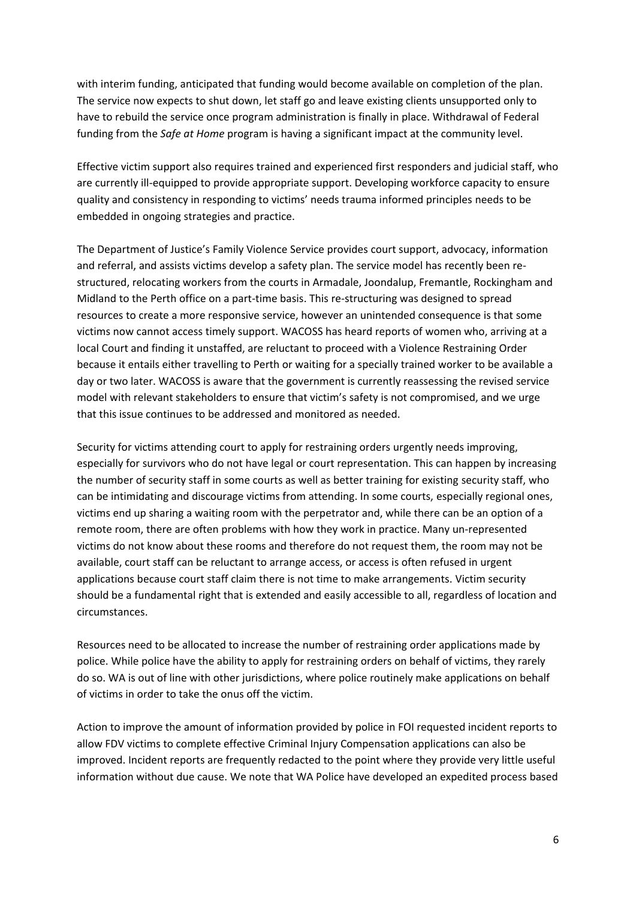with interim funding, anticipated that funding would become available on completion of the plan. The service now expects to shut down, let staff go and leave existing clients unsupported only to have to rebuild the service once program administration is finally in place. Withdrawal of Federal funding from the *Safe at Home* program is having a significant impact at the community level.

Effective victim support also requires trained and experienced first responders and judicial staff, who are currently ill-equipped to provide appropriate support. Developing workforce capacity to ensure quality and consistency in responding to victims' needs trauma informed principles needs to be embedded in ongoing strategies and practice.

The Department of Justice's Family Violence Service provides court support, advocacy, information and referral, and assists victims develop a safety plan. The service model has recently been restructured, relocating workers from the courts in Armadale, Joondalup, Fremantle, Rockingham and Midland to the Perth office on a part-time basis. This re-structuring was designed to spread resources to create a more responsive service, however an unintended consequence is that some victims now cannot access timely support. WACOSS has heard reports of women who, arriving at a local Court and finding it unstaffed, are reluctant to proceed with a Violence Restraining Order because it entails either travelling to Perth or waiting for a specially trained worker to be available a day or two later. WACOSS is aware that the government is currently reassessing the revised service model with relevant stakeholders to ensure that victim's safety is not compromised, and we urge that this issue continues to be addressed and monitored as needed.

Security for victims attending court to apply for restraining orders urgently needs improving, especially for survivors who do not have legal or court representation. This can happen by increasing the number of security staff in some courts as well as better training for existing security staff, who can be intimidating and discourage victims from attending. In some courts, especially regional ones, victims end up sharing a waiting room with the perpetrator and, while there can be an option of a remote room, there are often problems with how they work in practice. Many un-represented victims do not know about these rooms and therefore do not request them, the room may not be available, court staff can be reluctant to arrange access, or access is often refused in urgent applications because court staff claim there is not time to make arrangements. Victim security should be a fundamental right that is extended and easily accessible to all, regardless of location and circumstances.

Resources need to be allocated to increase the number of restraining order applications made by police. While police have the ability to apply for restraining orders on behalf of victims, they rarely do so. WA is out of line with other jurisdictions, where police routinely make applications on behalf of victims in order to take the onus off the victim.

Action to improve the amount of information provided by police in FOI requested incident reports to allow FDV victims to complete effective Criminal Injury Compensation applications can also be improved. Incident reports are frequently redacted to the point where they provide very little useful information without due cause. We note that WA Police have developed an expedited process based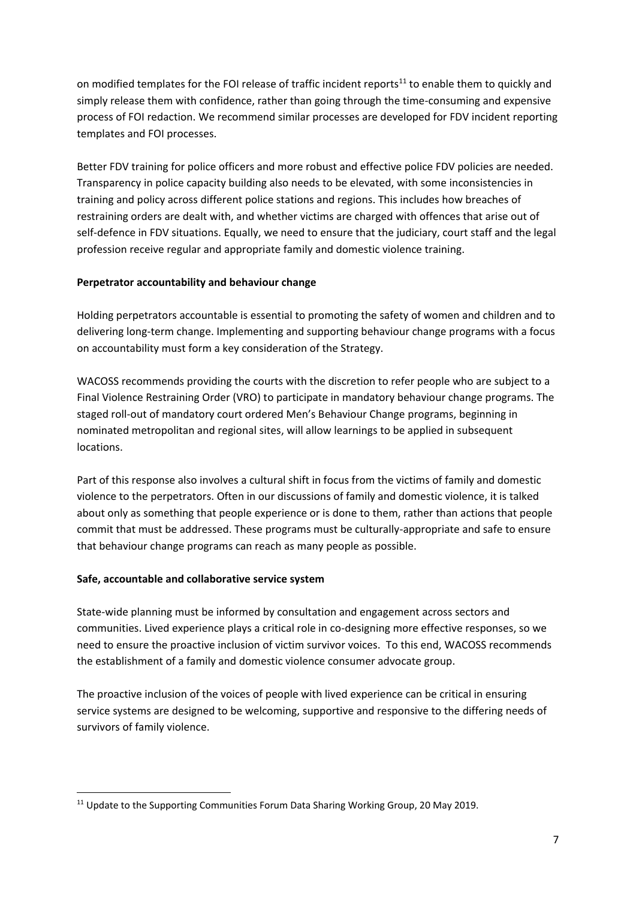on modified templates for the FOI release of traffic incident reports<sup>11</sup> to enable them to quickly and simply release them with confidence, rather than going through the time-consuming and expensive process of FOI redaction. We recommend similar processes are developed for FDV incident reporting templates and FOI processes.

Better FDV training for police officers and more robust and effective police FDV policies are needed. Transparency in police capacity building also needs to be elevated, with some inconsistencies in training and policy across different police stations and regions. This includes how breaches of restraining orders are dealt with, and whether victims are charged with offences that arise out of self-defence in FDV situations. Equally, we need to ensure that the judiciary, court staff and the legal profession receive regular and appropriate family and domestic violence training.

# **Perpetrator accountability and behaviour change**

Holding perpetrators accountable is essential to promoting the safety of women and children and to delivering long-term change. Implementing and supporting behaviour change programs with a focus on accountability must form a key consideration of the Strategy.

WACOSS recommends providing the courts with the discretion to refer people who are subject to a Final Violence Restraining Order (VRO) to participate in mandatory behaviour change programs. The staged roll-out of mandatory court ordered Men's Behaviour Change programs, beginning in nominated metropolitan and regional sites, will allow learnings to be applied in subsequent locations.

Part of this response also involves a cultural shift in focus from the victims of family and domestic violence to the perpetrators. Often in our discussions of family and domestic violence, it is talked about only as something that people experience or is done to them, rather than actions that people commit that must be addressed. These programs must be culturally-appropriate and safe to ensure that behaviour change programs can reach as many people as possible.

# **Safe, accountable and collaborative service system**

State-wide planning must be informed by consultation and engagement across sectors and communities. Lived experience plays a critical role in co-designing more effective responses, so we need to ensure the proactive inclusion of victim survivor voices. To this end, WACOSS recommends the establishment of a family and domestic violence consumer advocate group.

The proactive inclusion of the voices of people with lived experience can be critical in ensuring service systems are designed to be welcoming, supportive and responsive to the differing needs of survivors of family violence.

<sup>1</sup> <sup>11</sup> Update to the Supporting Communities Forum Data Sharing Working Group, 20 May 2019.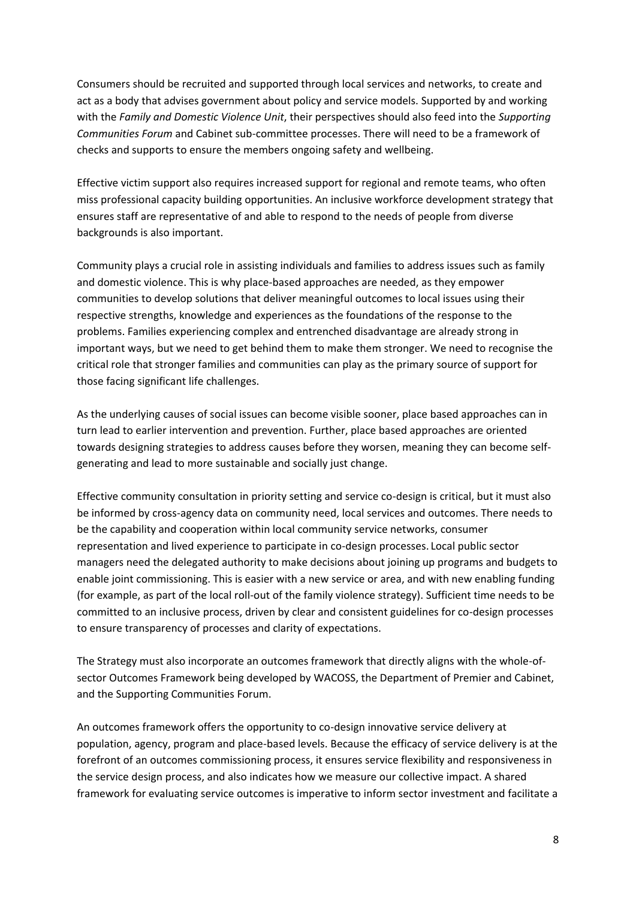Consumers should be recruited and supported through local services and networks, to create and act as a body that advises government about policy and service models. Supported by and working with the *Family and Domestic Violence Unit*, their perspectives should also feed into the *Supporting Communities Forum* and Cabinet sub-committee processes. There will need to be a framework of checks and supports to ensure the members ongoing safety and wellbeing.

Effective victim support also requires increased support for regional and remote teams, who often miss professional capacity building opportunities. An inclusive workforce development strategy that ensures staff are representative of and able to respond to the needs of people from diverse backgrounds is also important.

Community plays a crucial role in assisting individuals and families to address issues such as family and domestic violence. This is why place-based approaches are needed, as they empower communities to develop solutions that deliver meaningful outcomes to local issues using their respective strengths, knowledge and experiences as the foundations of the response to the problems. Families experiencing complex and entrenched disadvantage are already strong in important ways, but we need to get behind them to make them stronger. We need to recognise the critical role that stronger families and communities can play as the primary source of support for those facing significant life challenges.

As the underlying causes of social issues can become visible sooner, place based approaches can in turn lead to earlier intervention and prevention. Further, place based approaches are oriented towards designing strategies to address causes before they worsen, meaning they can become selfgenerating and lead to more sustainable and socially just change.

Effective community consultation in priority setting and service co-design is critical, but it must also be informed by cross-agency data on community need, local services and outcomes. There needs to be the capability and cooperation within local community service networks, consumer representation and lived experience to participate in co-design processes. Local public sector managers need the delegated authority to make decisions about joining up programs and budgets to enable joint commissioning. This is easier with a new service or area, and with new enabling funding (for example, as part of the local roll-out of the family violence strategy). Sufficient time needs to be committed to an inclusive process, driven by clear and consistent guidelines for co-design processes to ensure transparency of processes and clarity of expectations.

The Strategy must also incorporate an outcomes framework that directly aligns with the whole-ofsector Outcomes Framework being developed by WACOSS, the Department of Premier and Cabinet, and the Supporting Communities Forum.

An outcomes framework offers the opportunity to co-design innovative service delivery at population, agency, program and place-based levels. Because the efficacy of service delivery is at the forefront of an outcomes commissioning process, it ensures service flexibility and responsiveness in the service design process, and also indicates how we measure our collective impact. A shared framework for evaluating service outcomes is imperative to inform sector investment and facilitate a